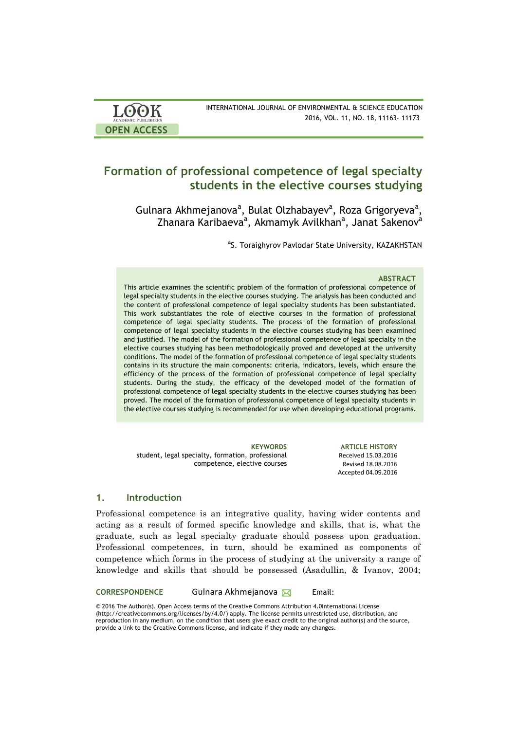| <b>LOOK</b><br><b>ACADEMIC PUBLISHERS</b> | INTERNATIONAL JOURNAL OF ENVIRONMENTAL & SCIENCE EDUCATION<br>2016, VOL. 11, NO. 18, 11163- 11173 |
|-------------------------------------------|---------------------------------------------------------------------------------------------------|
| <b>OPEN ACCESS</b>                        |                                                                                                   |

## **Formation of professional competence of legal specialty students in the elective courses studying**

Gulnara Akhmejanova<sup>a</sup>, Bulat Olzhabayev<sup>a</sup>, Roza Grigoryeva<sup>a</sup>, Zhanara Karibaeva<sup>a</sup>, Akmamyk Avilkhan<sup>a</sup>, Janat Sakenov<sup>a</sup>

<sup>a</sup>S. Toraighyrov Pavlodar State University, KAZAKHSTAN

#### **ABSTRACT**

This article examines the scientific problem of the formation of professional competence of legal specialty students in the elective courses studying. The analysis has been conducted and the content of professional competence of legal specialty students has been substantiated. This work substantiates the role of elective courses in the formation of professional competence of legal specialty students. The process of the formation of professional competence of legal specialty students in the elective courses studying has been examined and justified. The model of the formation of professional competence of legal specialty in the elective courses studying has been methodologically proved and developed at the university conditions. The model of the formation of professional competence of legal specialty students contains in its structure the main components: criteria, indicators, levels, which ensure the efficiency of the process of the formation of professional competence of legal specialty students. During the study, the efficacy of the developed model of the formation of professional competence of legal specialty students in the elective courses studying has been proved. The model of the formation of professional competence of legal specialty students in the elective courses studying is recommended for use when developing educational programs.

student, legal specialty, formation, professional competence, elective courses

**KEYWORDS ARTICLE HISTORY** Received 15.03.2016 Revised 18.08.2016 Accepted 04.09.2016 

## **1. Introduction**

Professional competence is an integrative quality, having wider contents and acting as a result of formed specific knowledge and skills, that is, what the graduate, such as legal specialty graduate should possess upon graduation. Professional competences, in turn, should be examined as components of competence which forms in the process of studying at the university a range of knowledge and skills that should be possessed (Asadullin, & Ivanov, 2004;

CORRESPONDENCE Gulnara Akhmejanova **⊠** Email:

© 2016 The Author(s). Open Access terms of the Creative Commons Attribution 4.0International License (http://creativecommons.org/licenses/by/4.0/) apply. The license permits unrestricted use, distribution, and reproduction in any medium, on the condition that users give exact credit to the original author(s) and the source, provide a link to the Creative Commons license, and indicate if they made any changes.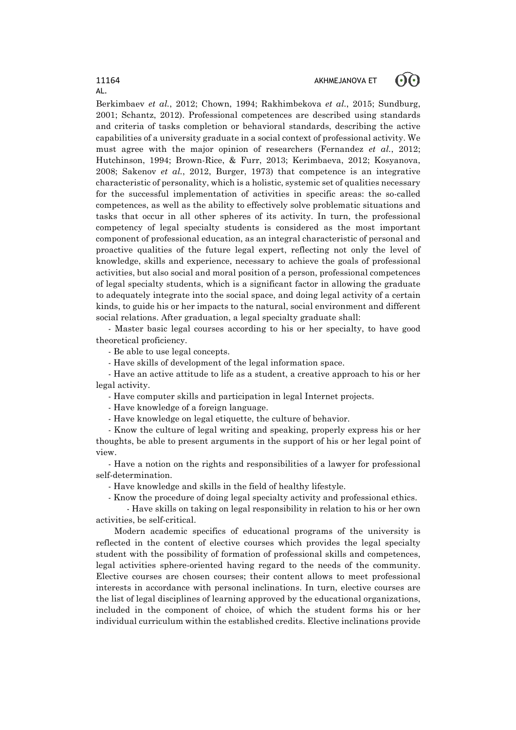#### ൟ 11164 AKHMEJANOVA ET

AL.

Berkimbaev *et al.*, 2012; Chown, 1994; Rakhimbekova *et al.*, 2015; Sundburg, 2001; Schantz, 2012). Professional competences are described using standards and criteria of tasks completion or behavioral standards, describing the active capabilities of a university graduate in a social context of professional activity. We must agree with the major opinion of researchers (Fernandez *et al.*, 2012; Hutchinson, 1994; Brown-Rice, & Furr, 2013; Kerimbaeva, 2012; Kosyanova, 2008; Sakenov *et al.*, 2012, Burger, 1973) that competence is an integrative characteristic of personality, which is a holistic, systemic set of qualities necessary for the successful implementation of activities in specific areas: the so-called competences, as well as the ability to effectively solve problematic situations and tasks that occur in all other spheres of its activity. In turn, the professional competency of legal specialty students is considered as the most important component of professional education, as an integral characteristic of personal and proactive qualities of the future legal expert, reflecting not only the level of knowledge, skills and experience, necessary to achieve the goals of professional activities, but also social and moral position of a person, professional competences of legal specialty students, which is a significant factor in allowing the graduate to adequately integrate into the social space, and doing legal activity of a certain kinds, to guide his or her impacts to the natural, social environment and different social relations. After graduation, a legal specialty graduate shall:

- Master basic legal courses according to his or her specialty, to have good theoretical proficiency.

- Be able to use legal concepts.

- Have skills of development of the legal information space.

- Have an active attitude to life as a student, a creative approach to his or her legal activity.

- Have computer skills and participation in legal Internet projects.

- Have knowledge of a foreign language.

- Have knowledge on legal etiquette, the culture of behavior.

- Know the culture of legal writing and speaking, properly express his or her thoughts, be able to present arguments in the support of his or her legal point of view.

- Have a notion on the rights and responsibilities of a lawyer for professional self-determination.

- Have knowledge and skills in the field of healthy lifestyle.

- Know the procedure of doing legal specialty activity and professional ethics.

- Have skills on taking on legal responsibility in relation to his or her own activities, be self-critical.

Modern academic specifics of educational programs of the university is reflected in the content of elective courses which provides the legal specialty student with the possibility of formation of professional skills and competences, legal activities sphere-oriented having regard to the needs of the community. Elective courses are chosen courses; their content allows to meet professional interests in accordance with personal inclinations. In turn, elective courses are the list of legal disciplines of learning approved by the educational organizations, included in the component of choice, of which the student forms his or her individual curriculum within the established credits. Elective inclinations provide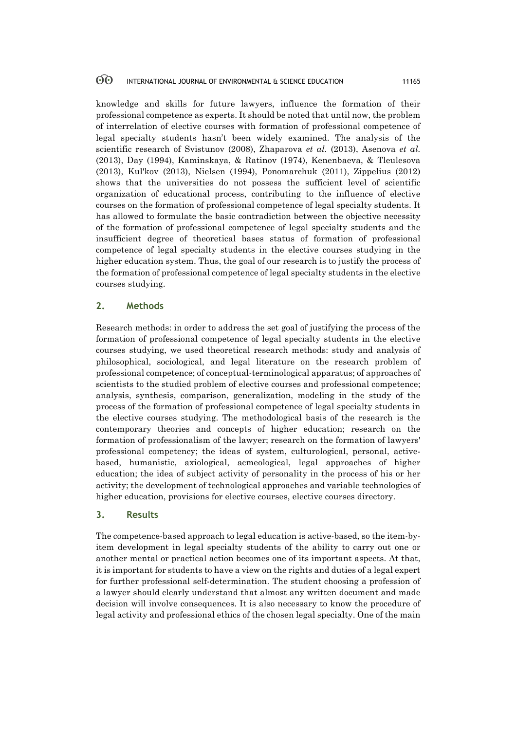knowledge and skills for future lawyers, influence the formation of their professional competence as experts. It should be noted that until now, the problem of interrelation of elective courses with formation of professional competence of legal specialty students hasn't been widely examined. The analysis of the scientific research of Svistunov (2008), Zhaparova *et al.* (2013), Asenova *et al.* (2013), Day (1994), Kaminskaya, & Ratinov (1974), Kenenbaeva, & Tleulesova (2013), Kul'kov (2013), Nielsen (1994), Ponomarchuk (2011), Zippelius (2012) shows that the universities do not possess the sufficient level of scientific organization of educational process, contributing to the influence of elective courses on the formation of professional competence of legal specialty students. It has allowed to formulate the basic contradiction between the objective necessity of the formation of professional competence of legal specialty students and the insufficient degree of theoretical bases status of formation of professional competence of legal specialty students in the elective courses studying in the higher education system. Thus, the goal of our research is to justify the process of the formation of professional competence of legal specialty students in the elective courses studying.

## **2. Methods**

Research methods: in order to address the set goal of justifying the process of the formation of professional competence of legal specialty students in the elective courses studying, we used theoretical research methods: study and analysis of philosophical, sociological, and legal literature on the research problem of professional competence; of conceptual-terminological apparatus; of approaches of scientists to the studied problem of elective courses and professional competence; analysis, synthesis, comparison, generalization, modeling in the study of the process of the formation of professional competence of legal specialty students in the elective courses studying. The methodological basis of the research is the contemporary theories and concepts of higher education; research on the formation of professionalism of the lawyer; research on the formation of lawyers' professional competency; the ideas of system, culturological, personal, activebased, humanistic, axiological, acmeological, legal approaches of higher education; the idea of subject activity of personality in the process of his or her activity; the development of technological approaches and variable technologies of higher education, provisions for elective courses, elective courses directory.

#### **3. Results**

The competence-based approach to legal education is active-based, so the item-byitem development in legal specialty students of the ability to carry out one or another mental or practical action becomes one of its important aspects. At that, it is important for students to have a view on the rights and duties of a legal expert for further professional self-determination. The student choosing a profession of a lawyer should clearly understand that almost any written document and made decision will involve consequences. It is also necessary to know the procedure of legal activity and professional ethics of the chosen legal specialty. One of the main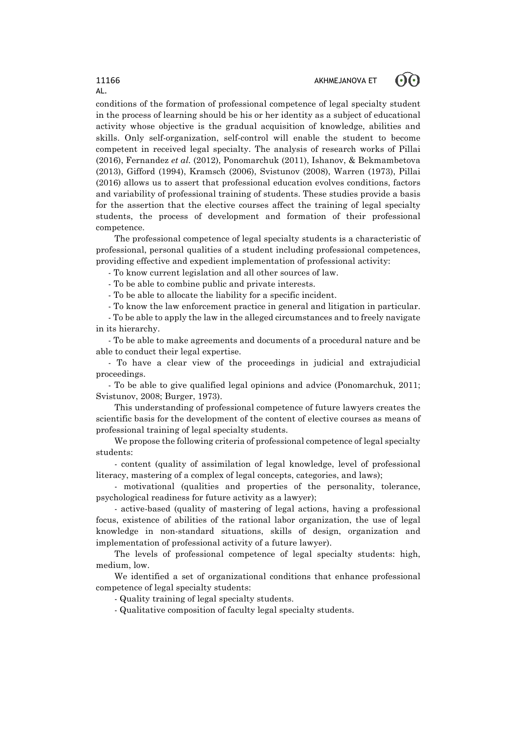## 11166 AKHMEJANOVA ET



conditions of the formation of professional competence of legal specialty student in the process of learning should be his or her identity as a subject of educational activity whose objective is the gradual acquisition of knowledge, abilities and skills. Only self-organization, self-control will enable the student to become competent in received legal specialty. The analysis of research works of Pillai (2016), Fernandez *et al.* (2012), Ponomarchuk (2011), Ishanov, & Bekmambetova (2013), Gifford (1994), Kramsch (2006), Svistunov (2008), Warren (1973), Pillai (2016) allows us to assert that professional education evolves conditions, factors and variability of professional training of students. These studies provide a basis for the assertion that the elective courses affect the training of legal specialty students, the process of development and formation of their professional competence.

The professional competence of legal specialty students is a characteristic of professional, personal qualities of a student including professional competences, providing effective and expedient implementation of professional activity:

- To know current legislation and all other sources of law.

- To be able to combine public and private interests.

- To be able to allocate the liability for a specific incident.

- To know the law enforcement practice in general and litigation in particular.

- To be able to apply the law in the alleged circumstances and to freely navigate in its hierarchy.

- To be able to make agreements and documents of a procedural nature and be able to conduct their legal expertise.

- To have a clear view of the proceedings in judicial and extrajudicial proceedings.

- To be able to give qualified legal opinions and advice (Ponomarchuk, 2011; Svistunov, 2008; Burger, 1973).

This understanding of professional competence of future lawyers creates the scientific basis for the development of the content of elective courses as means of professional training of legal specialty students.

We propose the following criteria of professional competence of legal specialty students:

- content (quality of assimilation of legal knowledge, level of professional literacy, mastering of a complex of legal concepts, categories, and laws);

- motivational (qualities and properties of the personality, tolerance, psychological readiness for future activity as a lawyer);

- active-based (quality of mastering of legal actions, having a professional focus, existence of abilities of the rational labor organization, the use of legal knowledge in non-standard situations, skills of design, organization and implementation of professional activity of a future lawyer).

The levels of professional competence of legal specialty students: high, medium, low.

We identified a set of organizational conditions that enhance professional competence of legal specialty students:

- Quality training of legal specialty students.

- Qualitative composition of faculty legal specialty students.

AL.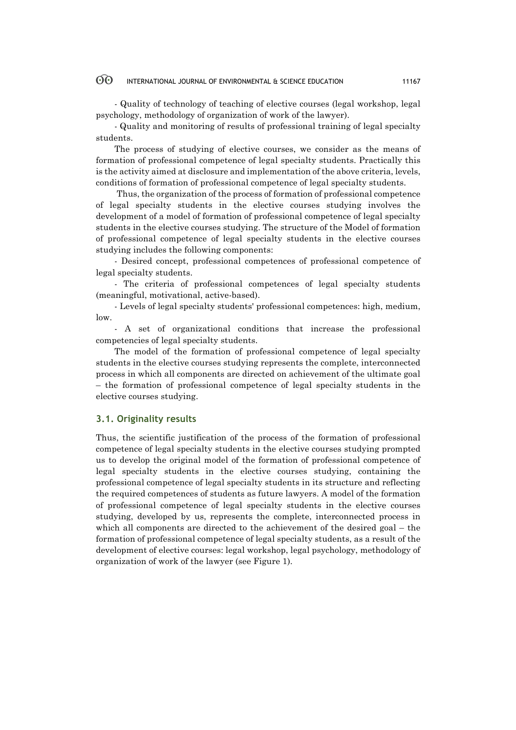- Quality of technology of teaching of elective courses (legal workshop, legal psychology, methodology of organization of work of the lawyer).

- Quality and monitoring of results of professional training of legal specialty students.

The process of studying of elective courses, we consider as the means of formation of professional competence of legal specialty students. Practically this is the activity aimed at disclosure and implementation of the above criteria, levels, conditions of formation of professional competence of legal specialty students.

Thus, the organization of the process of formation of professional competence of legal specialty students in the elective courses studying involves the development of a model of formation of professional competence of legal specialty students in the elective courses studying. The structure of the Model of formation of professional competence of legal specialty students in the elective courses studying includes the following components:

- Desired concept, professional competences of professional competence of legal specialty students.

- The criteria of professional competences of legal specialty students (meaningful, motivational, active-based).

- Levels of legal specialty students' professional competences: high, medium, low.

- A set of organizational conditions that increase the professional competencies of legal specialty students.

The model of the formation of professional competence of legal specialty students in the elective courses studying represents the complete, interconnected process in which all components are directed on achievement of the ultimate goal – the formation of professional competence of legal specialty students in the elective courses studying.

#### **3.1. Originality results**

Thus, the scientific justification of the process of the formation of professional competence of legal specialty students in the elective courses studying prompted us to develop the original model of the formation of professional competence of legal specialty students in the elective courses studying, containing the professional competence of legal specialty students in its structure and reflecting the required competences of students as future lawyers. A model of the formation of professional competence of legal specialty students in the elective courses studying, developed by us, represents the complete, interconnected process in which all components are directed to the achievement of the desired goal – the formation of professional competence of legal specialty students, as a result of the development of elective courses: legal workshop, legal psychology, methodology of organization of work of the lawyer (see Figure 1).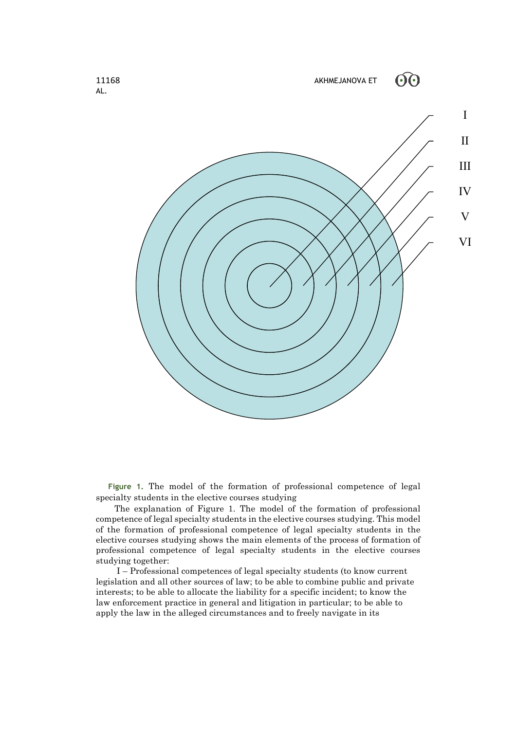

**Figure 1.** The model of the formation of professional competence of legal specialty students in the elective courses studying

The explanation of Figure 1. The model of the formation of professional competence of legal specialty students in the elective courses studying. This model of the formation of professional competence of legal specialty students in the elective courses studying shows the main elements of the process of formation of professional competence of legal specialty students in the elective courses studying together:

I – Professional competences of legal specialty students (to know current legislation and all other sources of law; to be able to combine public and private interests; to be able to allocate the liability for a specific incident; to know the law enforcement practice in general and litigation in particular; to be able to apply the law in the alleged circumstances and to freely navigate in its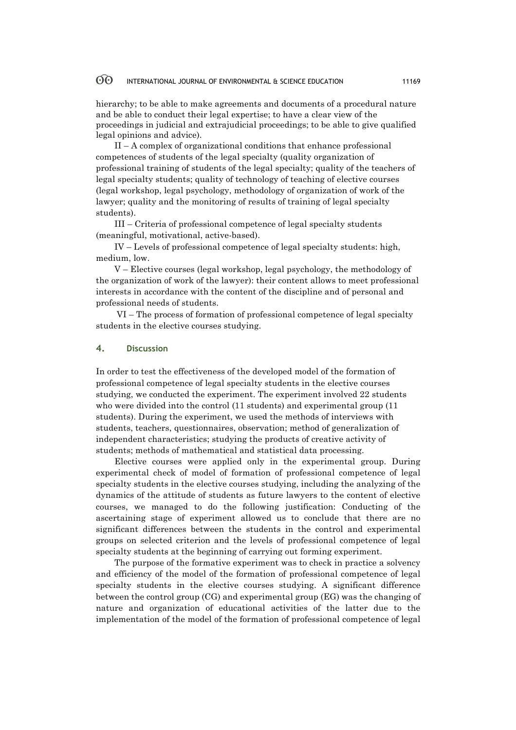hierarchy; to be able to make agreements and documents of a procedural nature and be able to conduct their legal expertise; to have a clear view of the proceedings in judicial and extrajudicial proceedings; to be able to give qualified legal opinions and advice).

II – A complex of organizational conditions that enhance professional competences of students of the legal specialty (quality organization of professional training of students of the legal specialty; quality of the teachers of legal specialty students; quality of technology of teaching of elective courses (legal workshop, legal psychology, methodology of organization of work of the lawyer; quality and the monitoring of results of training of legal specialty students).

III – Criteria of professional competence of legal specialty students (meaningful, motivational, active-based).

IV – Levels of professional competence of legal specialty students: high, medium, low.

V – Elective courses (legal workshop, legal psychology, the methodology of the organization of work of the lawyer): their content allows to meet professional interests in accordance with the content of the discipline and of personal and professional needs of students.

VI – The process of formation of professional competence of legal specialty students in the elective courses studying.

#### **4. Discussion**

In order to test the effectiveness of the developed model of the formation of professional competence of legal specialty students in the elective courses studying, we conducted the experiment. The experiment involved 22 students who were divided into the control (11 students) and experimental group (11 students). During the experiment, we used the methods of interviews with students, teachers, questionnaires, observation; method of generalization of independent characteristics; studying the products of creative activity of students; methods of mathematical and statistical data processing.

Elective courses were applied only in the experimental group. During experimental check of model of formation of professional competence of legal specialty students in the elective courses studying, including the analyzing of the dynamics of the attitude of students as future lawyers to the content of elective courses, we managed to do the following justification: Conducting of the ascertaining stage of experiment allowed us to conclude that there are no significant differences between the students in the control and experimental groups on selected criterion and the levels of professional competence of legal specialty students at the beginning of carrying out forming experiment.

The purpose of the formative experiment was to check in practice a solvency and efficiency of the model of the formation of professional competence of legal specialty students in the elective courses studying. A significant difference between the control group (CG) and experimental group (EG) was the changing of nature and organization of educational activities of the latter due to the implementation of the model of the formation of professional competence of legal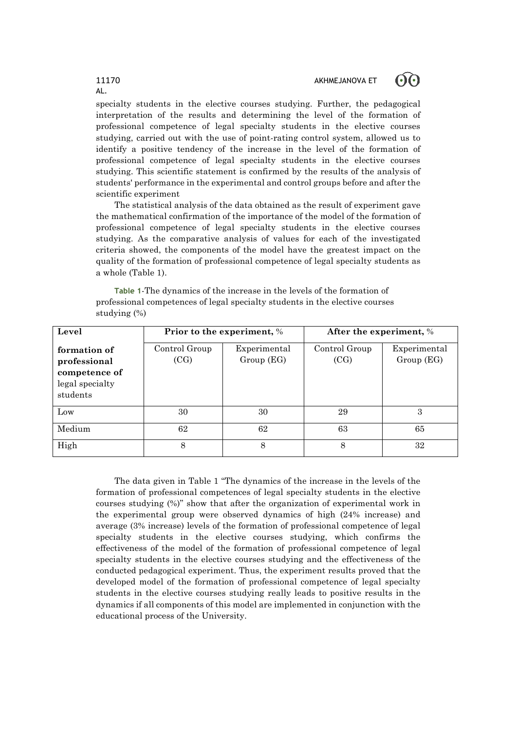## 11170 AKHMEJANOVA ET

ගිල



The statistical analysis of the data obtained as the result of experiment gave the mathematical confirmation of the importance of the model of the formation of professional competence of legal specialty students in the elective courses studying. As the comparative analysis of values for each of the investigated criteria showed, the components of the model have the greatest impact on the quality of the formation of professional competence of legal specialty students as a whole (Table 1).

**Table 1**-The dynamics of the increase in the levels of the formation of professional competences of legal specialty students in the elective courses studying (%)

| Level                                                                        | Prior to the experiment, % |                           | After the experiment, % |                           |
|------------------------------------------------------------------------------|----------------------------|---------------------------|-------------------------|---------------------------|
| formation of<br>professional<br>competence of<br>legal specialty<br>students | Control Group<br>(CG)      | Experimental<br>Group(EG) | Control Group<br>(CG)   | Experimental<br>Group(EG) |
| Low                                                                          | 30                         | 30                        | 29                      | 3                         |
| Medium                                                                       | 62                         | 62                        | 63                      | 65                        |
| High                                                                         | 8                          | 8                         | 8                       | 32                        |

The data given in Table 1 "The dynamics of the increase in the levels of the formation of professional competences of legal specialty students in the elective courses studying (%)" show that after the organization of experimental work in the experimental group were observed dynamics of high (24% increase) and average (3% increase) levels of the formation of professional competence of legal specialty students in the elective courses studying, which confirms the effectiveness of the model of the formation of professional competence of legal specialty students in the elective courses studying and the effectiveness of the conducted pedagogical experiment. Thus, the experiment results proved that the developed model of the formation of professional competence of legal specialty students in the elective courses studying really leads to positive results in the dynamics if all components of this model are implemented in conjunction with the educational process of the University.

# AL.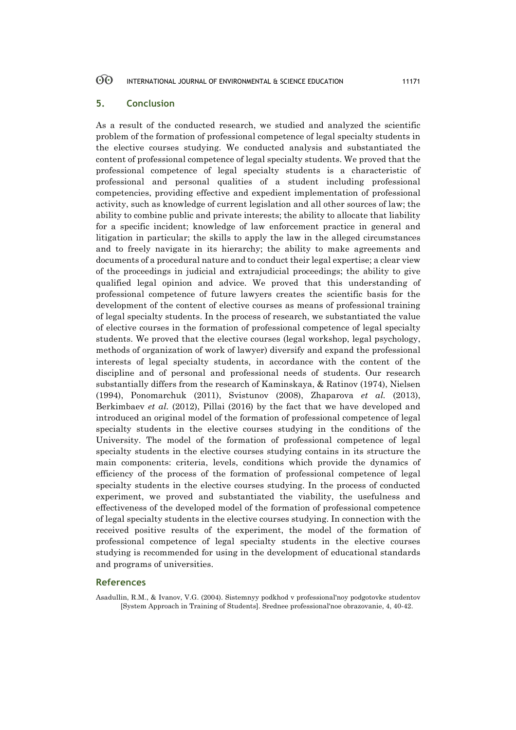## **5. Conclusion**

As a result of the conducted research, we studied and analyzed the scientific problem of the formation of professional competence of legal specialty students in the elective courses studying. We conducted analysis and substantiated the content of professional competence of legal specialty students. We proved that the professional competence of legal specialty students is a characteristic of professional and personal qualities of a student including professional competencies, providing effective and expedient implementation of professional activity, such as knowledge of current legislation and all other sources of law; the ability to combine public and private interests; the ability to allocate that liability for a specific incident; knowledge of law enforcement practice in general and litigation in particular; the skills to apply the law in the alleged circumstances and to freely navigate in its hierarchy; the ability to make agreements and documents of a procedural nature and to conduct their legal expertise; a clear view of the proceedings in judicial and extrajudicial proceedings; the ability to give qualified legal opinion and advice. We proved that this understanding of professional competence of future lawyers creates the scientific basis for the development of the content of elective courses as means of professional training of legal specialty students. In the process of research, we substantiated the value of elective courses in the formation of professional competence of legal specialty students. We proved that the elective courses (legal workshop, legal psychology, methods of organization of work of lawyer) diversify and expand the professional interests of legal specialty students, in accordance with the content of the discipline and of personal and professional needs of students. Our research substantially differs from the research of Kaminskaya, & Ratinov (1974), Nielsen (1994), Ponomarchuk (2011), Svistunov (2008), Zhaparova *et al.* (2013), Berkimbaev *et al.* (2012), Pillai (2016) by the fact that we have developed and introduced an original model of the formation of professional competence of legal specialty students in the elective courses studying in the conditions of the University. The model of the formation of professional competence of legal specialty students in the elective courses studying contains in its structure the main components: criteria, levels, conditions which provide the dynamics of efficiency of the process of the formation of professional competence of legal specialty students in the elective courses studying. In the process of conducted experiment, we proved and substantiated the viability, the usefulness and effectiveness of the developed model of the formation of professional competence of legal specialty students in the elective courses studying. In connection with the received positive results of the experiment, the model of the formation of professional competence of legal specialty students in the elective courses studying is recommended for using in the development of educational standards and programs of universities.

## **References**

Asadullin, R.M., & Ivanov, V.G. (2004). Sistemnyy podkhod v professional'noy podgotovke studentov [System Approach in Training of Students]. Srednee professional'noe obrazovanie, 4, 40-42.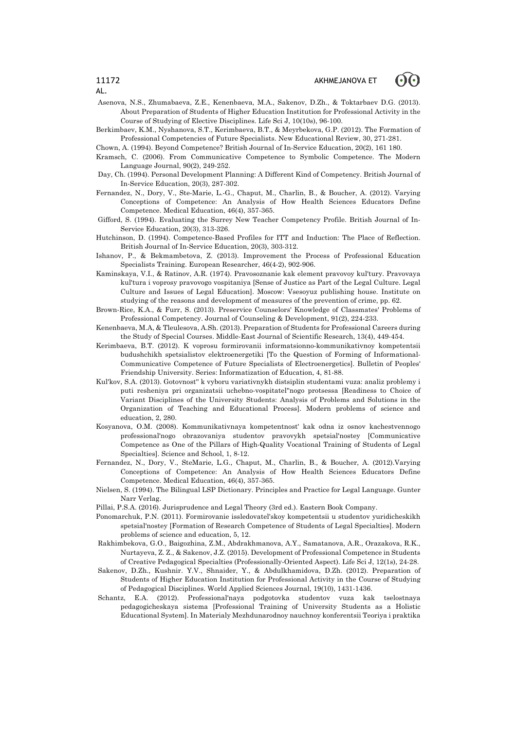

Asenova, N.S., Zhumabaeva, Z.E., Kenenbaeva, M.A., Sakenov, D.Zh., & Toktarbaev D.G. (2013). About Preparation of Students of Higher Education Institution for Professional Activity in the Course of Studying of Elective Disciplines. Life Sci J, 10(10s), 96-100.

Berkimbaev, K.M., Nyshanova, S.T., Kerimbaeva, B.T., & Meyrbekova, G.P. (2012). The Formation of Professional Competencies of Future Specialists. New Educational Review, 30, 271-281.

Chown, A. (1994). Beyond Competence? British Journal of In-Service Education, 20(2), 161 180.

Kramsch, C. (2006). From Communicative Competence to Symbolic Competence. The Modern Language Journal, 90(2), 249-252.

- Day, Ch. (1994). Personal Development Planning: A Different Kind of Competency. British Journal of In-Service Education, 20(3), 287-302.
- Fernandez, N., Dory, V., Ste-Marie, L.-G., Chaput, M., Charlin, B., & Boucher, A. (2012). Varying Conceptions of Competence: An Analysis of How Health Sciences Educators Define Competence. Medical Education, 46(4), 357-365.
- Gifford, S. (1994). Evaluating the Surrey New Teacher Competency Profile. British Journal of In-Service Education, 20(3), 313-326.
- Hutchinson, D. (1994). Competence-Based Profiles for ITT and Induction: The Place of Reflection. British Journal of In-Service Education, 20(3), 303-312.
- Ishanov, P., & Bekmambetova, Z. (2013). Improvement the Process of Professional Education Specialists Training. European Researcher, 46(4-2), 902-906.
- Kaminskaya, V.I., & Ratinov, A.R. (1974). Pravosoznanie kak element pravovoy kul'tury. Pravovaya kul'tura i voprosy pravovogo vospitaniya [Sense of Justice as Part of the Legal Culture. Legal Culture and Issues of Legal Education]. Moscow: Vsesoyuz publishing house. Institute on studying of the reasons and development of measures of the prevention of crime, pp. 62.
- Brown-Rice, K.A., & Furr, S. (2013). Preservice Counselors' Knowledge of Classmates' Problems of Professional Competency. Journal of Counseling & Development, 91(2), 224-233.
- Kenenbaeva, M.A, & Tleulesova, A.Sh. (2013). Preparation of Students for Professional Careers during the Study of Special Courses. Middle-East Journal of Scientific Research, 13(4), 449-454.
- Kerimbaeva, B.T. (2012). K voprosu formirovanii informatsionno-kommunikativnoy kompetentsii budushchikh spetsialistov elektroenergetiki [To the Question of Forming of Informational-Communicative Competence of Future Specialists of Electroenergetics]. Bulletin of Peoples' Friendship University. Series: Informatization of Education, 4, 81-88.
- Kul'kov, S.A. (2013). Gotovnost'' k vyboru variativnykh distsiplin studentami vuza: analiz problemy i puti resheniya pri organizatsii uchebno-vospitatel''nogo protsessa [Readiness to Choice of Variant Disciplines of the University Students: Analysis of Problems and Solutions in the Organization of Teaching and Educational Process]. Modern problems of science and education, 2, 280.
- Kosyanova, O.M. (2008). Kommunikativnaya kompetentnost' kak odna iz osnov kachestvennogo professional'nogo obrazovaniya studentov pravovykh spetsial'nostey [Communicative Competence as One of the Pillars of High-Quality Vocational Training of Students of Legal Specialties]. Science and School, 1, 8-12.
- Fernandez, N., Dory, V., SteMarie, L.G., Chaput, M., Charlin, B., & Boucher, A. (2012).Varying Conceptions of Competence: An Analysis of How Health Sciences Educators Define Competence. Medical Education, 46(4), 357-365.
- Nielsen, S. (1994). The Bilingual LSP Dictionary. Principles and Practice for Legal Language. Gunter Narr Verlag.

Pillai, P.S.A. (2016). Jurisprudence and Legal Theory (3rd ed.). Eastern Book Company.

- Ponomarchuk, P.N. (2011). Formirovanie issledovatel'skoy kompetentsii u studentov yuridicheskikh spetsial'nostey [Formation of Research Competence of Students of Legal Specialties]. Modern problems of science and education, 5, 12.
- Rakhimbekova, G.O., Baigozhina, Z.M., Abdrakhmanova, A.Y., Samatanova, A.R., Orazakova, R.K., Nurtayeva, Z. Z., & Sakenov, J.Z. (2015). Development of Professional Competence in Students of Creative Pedagogical Specialties (Professionally-Oriented Aspect). Life Sci J, 12(1s), 24-28.
- Sakenov, D.Zh., Kushnir. Y.V., Shnaider, Y., & Abdulkhamidova, D.Zh. (2012). Preparation of Students of Higher Education Institution for Professional Activity in the Course of Studying of Pedagogical Disciplines. World Applied Sciences Journal, 19(10), 1431-1436.
- Schantz, E.A. (2012). Professional'naya podgotovka studentov vuza kak tselostnaya pedagogicheskaya sistema [Professional Training of University Students as a Holistic Educational System]. In Materialy Mezhdunarodnoy nauchnoy konferentsii Teoriya i praktika